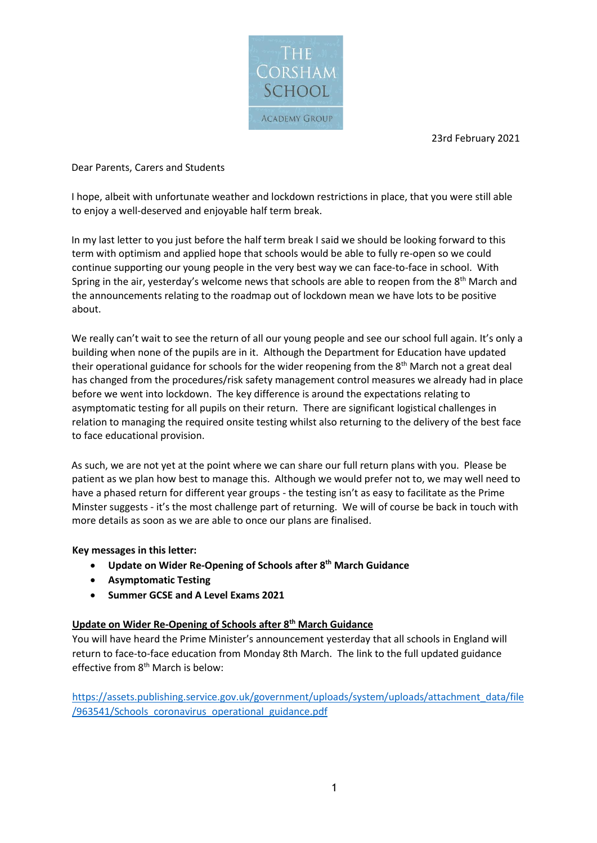

23rd February 2021

Dear Parents, Carers and Students

I hope, albeit with unfortunate weather and lockdown restrictions in place, that you were still able to enjoy a well-deserved and enjoyable half term break.

In my last letter to you just before the half term break I said we should be looking forward to this term with optimism and applied hope that schools would be able to fully re-open so we could continue supporting our young people in the very best way we can face-to-face in school. With Spring in the air, yesterday's welcome news that schools are able to reopen from the 8<sup>th</sup> March and the announcements relating to the roadmap out of lockdown mean we have lots to be positive about.

We really can't wait to see the return of all our young people and see our school full again. It's only a building when none of the pupils are in it. Although the Department for Education have updated their operational guidance for schools for the wider reopening from the 8<sup>th</sup> March not a great deal has changed from the procedures/risk safety management control measures we already had in place before we went into lockdown. The key difference is around the expectations relating to asymptomatic testing for all pupils on their return. There are significant logistical challenges in relation to managing the required onsite testing whilst also returning to the delivery of the best face to face educational provision.

As such, we are not yet at the point where we can share our full return plans with you. Please be patient as we plan how best to manage this. Although we would prefer not to, we may well need to have a phased return for different year groups - the testing isn't as easy to facilitate as the Prime Minster suggests - it's the most challenge part of returning. We will of course be back in touch with more details as soon as we are able to once our plans are finalised.

# **Key messages in this letter:**

- **Update on Wider Re-Opening of Schools after 8th March Guidance**
- **Asymptomatic Testing**
- **Summer GCSE and A Level Exams 2021**

# **Update on Wider Re-Opening of Schools after 8th March Guidance**

You will have heard the Prime Minister's announcement yesterday that all schools in England will return to face-to-face education from Monday 8th March. The link to the full updated guidance effective from 8<sup>th</sup> March is below:

[https://assets.publishing.service.gov.uk/government/uploads/system/uploads/attachment\\_data/file](https://assets.publishing.service.gov.uk/government/uploads/system/uploads/attachment_data/file/963541/Schools_coronavirus_operational_guidance.pdf) [/963541/Schools\\_coronavirus\\_operational\\_guidance.pdf](https://assets.publishing.service.gov.uk/government/uploads/system/uploads/attachment_data/file/963541/Schools_coronavirus_operational_guidance.pdf)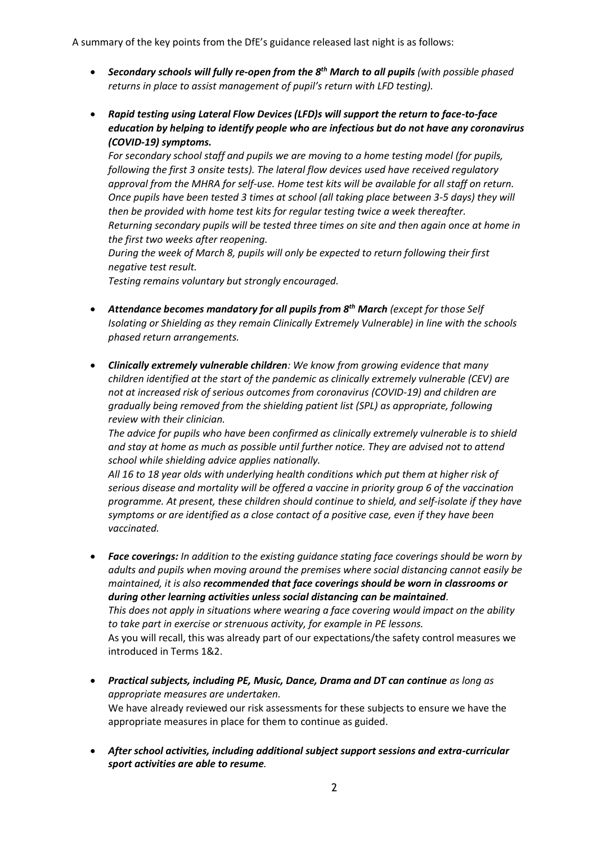A summary of the key points from the DfE's guidance released last night is as follows:

- *Secondary schools will fully re-open from the 8th March to all pupils (with possible phased returns in place to assist management of pupil's return with LFD testing).*
- *Rapid testing using Lateral Flow Devices (LFD)s will support the return to face-to-face education by helping to identify people who are infectious but do not have any coronavirus (COVID-19) symptoms.*

*For secondary school staff and pupils we are moving to a home testing model (for pupils, following the first 3 onsite tests). The lateral flow devices used have received regulatory approval from the MHRA for self-use. Home test kits will be available for all staff on return. Once pupils have been tested 3 times at school (all taking place between 3-5 days) they will then be provided with home test kits for regular testing twice a week thereafter. Returning secondary pupils will be tested three times on site and then again once at home in the first two weeks after reopening.* 

*During the week of March 8, pupils will only be expected to return following their first negative test result.*

*Testing remains voluntary but strongly encouraged.*

- *Attendance becomes mandatory for all pupils from 8th March (except for those Self Isolating or Shielding as they remain Clinically Extremely Vulnerable) in line with the schools phased return arrangements.*
- *Clinically extremely vulnerable children: We know from growing evidence that many children identified at the start of the pandemic as clinically extremely vulnerable (CEV) are not at increased risk of serious outcomes from coronavirus (COVID-19) and children are gradually being removed from the shielding patient list (SPL) as appropriate, following review with their clinician.*

*The advice for pupils who have been confirmed as clinically extremely vulnerable is to shield and stay at home as much as possible until further notice. They are advised not to attend school while shielding advice applies nationally.* 

*All 16 to 18 year olds with underlying health conditions which put them at higher risk of serious disease and mortality will be offered a vaccine in priority group 6 of the vaccination programme. At present, these children should continue to shield, and self-isolate if they have symptoms or are identified as a close contact of a positive case, even if they have been vaccinated.*

- *Face coverings: In addition to the existing guidance stating face coverings should be worn by adults and pupils when moving around the premises where social distancing cannot easily be maintained, it is also recommended that face coverings should be worn in classrooms or during other learning activities unless social distancing can be maintained. This does not apply in situations where wearing a face covering would impact on the ability to take part in exercise or strenuous activity, for example in PE lessons.* As you will recall, this was already part of our expectations/the safety control measures we introduced in Terms 1&2.
- *Practical subjects, including PE, Music, Dance, Drama and DT can continue as long as appropriate measures are undertaken.*  We have already reviewed our risk assessments for these subjects to ensure we have the appropriate measures in place for them to continue as guided.
- *After school activities, including additional subject support sessions and extra-curricular sport activities are able to resume.*